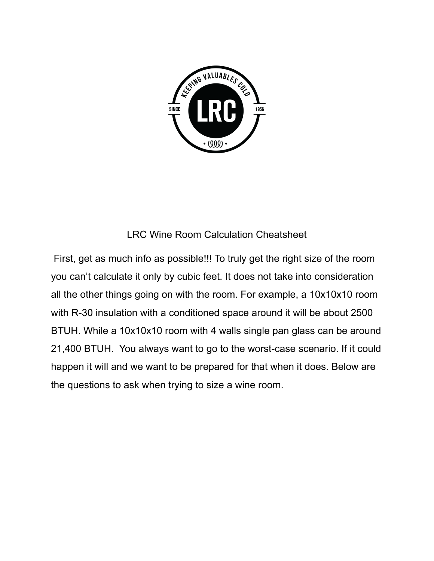

## LRC Wine Room Calculation Cheatsheet

First, get as much info as possible!!! To truly get the right size of the room you can't calculate it only by cubic feet. It does not take into consideration all the other things going on with the room. For example, a 10x10x10 room with R-30 insulation with a conditioned space around it will be about 2500 BTUH. While a 10x10x10 room with 4 walls single pan glass can be around 21,400 BTUH. You always want to go to the worst-case scenario. If it could happen it will and we want to be prepared for that when it does. Below are the questions to ask when trying to size a wine room.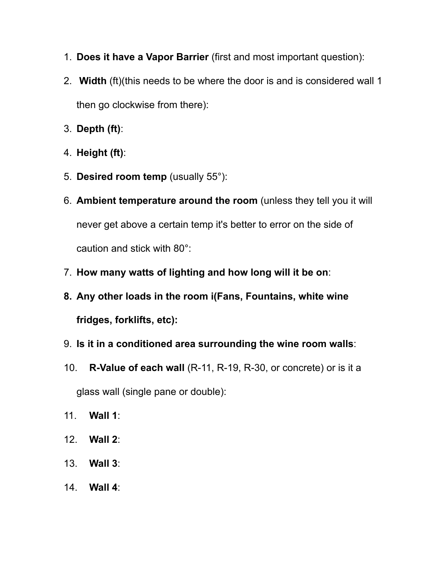- 1. **Does it have a Vapor Barrier** (first and most important question):
- 2. **Width** (ft)(this needs to be where the door is and is considered wall 1 then go clockwise from there):
- 3. **Depth (ft)**:
- 4. **Height (ft)**:
- 5. **Desired room temp** (usually 55°):
- 6. **Ambient temperature around the room** (unless they tell you it will never get above a certain temp it's better to error on the side of caution and stick with 80°:
- 7. **How many watts of lighting and how long will it be on**:
- **8. Any other loads in the room i(Fans, Fountains, white wine fridges, forklifts, etc):**
- 9. **Is it in a conditioned area surrounding the wine room walls**:
- 10. **R-Value of each wall** (R-11, R-19, R-30, or concrete) or is it a glass wall (single pane or double):
- 11. **Wall 1**:
- 12. **Wall 2**:
- 13. **Wall 3**:
- 14. **Wall 4**: